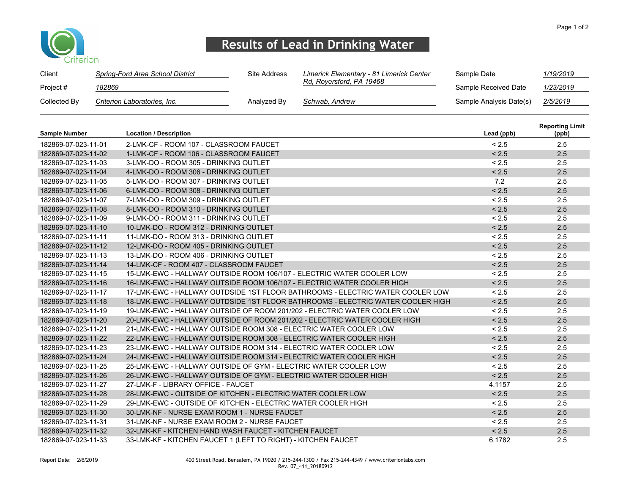

## Results of Lead in Drinking Water

| Client       | Spring-Ford Area School District | Site Address | Limerick Elementary - 81 Limerick Center | Sample Date             | 1/19/2019 |
|--------------|----------------------------------|--------------|------------------------------------------|-------------------------|-----------|
| Project #    | 182869                           |              | Rd, Royersford, PA 19468                 | Sample Received Date    | 1/23/2019 |
| Collected By | Criterion Laboratories, Inc.     | Analyzed By  | Schwab, Andrew                           | Sample Analysis Date(s) | 2/5/2019  |

| Sample Number       | <b>Location / Description</b>                                                  | Lead (ppb) | <b>Reporting Limit</b><br>(ppb) |
|---------------------|--------------------------------------------------------------------------------|------------|---------------------------------|
| 182869-07-023-11-01 | 2-LMK-CF - ROOM 107 - CLASSROOM FAUCET                                         | < 2.5      | 2.5                             |
| 182869-07-023-11-02 | 1-LMK-CF - ROOM 106 - CLASSROOM FAUCET                                         | < 2.5      | 2.5                             |
| 182869-07-023-11-03 | 3-LMK-DO - ROOM 305 - DRINKING OUTLET                                          | < 2.5      | 2.5                             |
| 182869-07-023-11-04 | 4-LMK-DO - ROOM 306 - DRINKING OUTLET                                          | < 2.5      | 2.5                             |
| 182869-07-023-11-05 | 5-LMK-DO - ROOM 307 - DRINKING OUTLET                                          | 7.2        | 2.5                             |
| 182869-07-023-11-06 | 6-LMK-DO - ROOM 308 - DRINKING OUTLET                                          | < 2.5      | 2.5                             |
| 182869-07-023-11-07 | 7-LMK-DO - ROOM 309 - DRINKING OUTLET                                          | < 2.5      | 2.5                             |
| 182869-07-023-11-08 | 8-LMK-DO - ROOM 310 - DRINKING OUTLET                                          | < 2.5      | 2.5                             |
| 182869-07-023-11-09 | 9-LMK-DO - ROOM 311 - DRINKING OUTLET                                          | < 2.5      | 2.5                             |
| 182869-07-023-11-10 | 10-LMK-DO - ROOM 312 - DRINKING OUTLET                                         | < 2.5      | 2.5                             |
| 182869-07-023-11-11 | 11-LMK-DO - ROOM 313 - DRINKING OUTLET                                         | < 2.5      | 2.5                             |
| 182869-07-023-11-12 | 12-LMK-DO - ROOM 405 - DRINKING OUTLET                                         | < 2.5      | 2.5                             |
| 182869-07-023-11-13 | 13-LMK-DO - ROOM 406 - DRINKING OUTLET                                         | < 2.5      | 2.5                             |
| 182869-07-023-11-14 | 14-LMK-CF - ROOM 407 - CLASSROOM FAUCET                                        | < 2.5      | 2.5                             |
| 182869-07-023-11-15 | 15-LMK-EWC - HALLWAY OUTSIDE ROOM 106/107 - ELECTRIC WATER COOLER LOW          | < 2.5      | 2.5                             |
| 182869-07-023-11-16 | 16-LMK-EWC - HALLWAY OUTSIDE ROOM 106/107 - ELECTRIC WATER COOLER HIGH         | < 2.5      | 2.5                             |
| 182869-07-023-11-17 | 17-LMK-EWC - HALLWAY OUTDSIDE 1ST FLOOR BATHROOMS - ELECTRIC WATER COOLER LOW  | < 2.5      | 2.5                             |
| 182869-07-023-11-18 | 18-LMK-EWC - HALLWAY OUTDSIDE 1ST FLOOR BATHROOMS - ELECTRIC WATER COOLER HIGH | < 2.5      | 2.5                             |
| 182869-07-023-11-19 | 19-LMK-EWC - HALLWAY OUTSIDE OF ROOM 201/202 - ELECTRIC WATER COOLER LOW       | < 2.5      | 2.5                             |
| 182869-07-023-11-20 | 20-LMK-EWC - HALLWAY OUTSIDE OF ROOM 201/202 - ELECTRIC WATER COOLER HIGH      | < 2.5      | 2.5                             |
| 182869-07-023-11-21 | 21-LMK-EWC - HALLWAY OUTSIDE ROOM 308 - ELECTRIC WATER COOLER LOW              | < 2.5      | 2.5                             |
| 182869-07-023-11-22 | 22-LMK-EWC - HALLWAY OUTSIDE ROOM 308 - ELECTRIC WATER COOLER HIGH             | < 2.5      | 2.5                             |
| 182869-07-023-11-23 | 23-LMK-EWC - HALLWAY OUTSIDE ROOM 314 - ELECTRIC WATER COOLER LOW              | < 2.5      | 2.5                             |
| 182869-07-023-11-24 | 24-LMK-EWC - HALLWAY OUTSIDE ROOM 314 - ELECTRIC WATER COOLER HIGH             | < 2.5      | 2.5                             |
| 182869-07-023-11-25 | 25-LMK-EWC - HALLWAY OUTSIDE OF GYM - ELECTRIC WATER COOLER LOW                | < 2.5      | 2.5                             |
| 182869-07-023-11-26 | 26-LMK-EWC - HALLWAY OUTSIDE OF GYM - ELECTRIC WATER COOLER HIGH               | < 2.5      | 2.5                             |
| 182869-07-023-11-27 | 27-LMK-F - LIBRARY OFFICE - FAUCET                                             | 4.1157     | 2.5                             |
| 182869-07-023-11-28 | 28-LMK-EWC - OUTSIDE OF KITCHEN - ELECTRIC WATER COOLER LOW                    | < 2.5      | 2.5                             |
| 182869-07-023-11-29 | 29-LMK-EWC - OUTSIDE OF KITCHEN - ELECTRIC WATER COOLER HIGH                   | < 2.5      | 2.5                             |
| 182869-07-023-11-30 | 30-LMK-NF - NURSE EXAM ROOM 1 - NURSE FAUCET                                   | < 2.5      | 2.5                             |
| 182869-07-023-11-31 | 31-LMK-NF - NURSE EXAM ROOM 2 - NURSE FAUCET                                   | < 2.5      | 2.5                             |
| 182869-07-023-11-32 | 32-LMK-KF - KITCHEN HAND WASH FAUCET - KITCHEN FAUCET                          | < 2.5      | 2.5                             |
| 182869-07-023-11-33 | 33-LMK-KF - KITCHEN FAUCET 1 (LEFT TO RIGHT) - KITCHEN FAUCET                  | 6.1782     | 2.5                             |